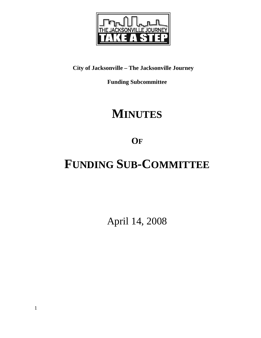

# **City of Jacksonville – The Jacksonville Journey**

**Funding Subcommittee** 

# **MINUTES**

**OF**

# **FUNDING SUB-COMMITTEE**

April 14, 2008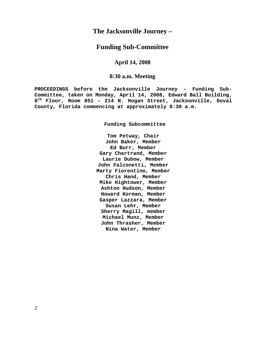# **The Jacksonville Journey –**

## **Funding Sub-Committee**

## **April 14, 2008**

## **8:30 a.m. Meeting**

**PROCEEDINGS before the Jacksonville Journey – Funding Sub-Committee, taken on Monday, April 14, 2008, Edward Ball Building, 8th Floor, Room 851 – 214 N. Hogan Street, Jacksonville, Duval County, Florida commencing at approximately 8:30 a.m.** 

**Funding Subcommittee** 

**Tom Petway, Chair John Baker, Member Ed Burr, Member Gary Chartrand, Member Laurie Dubow, Member John Falconetti, Member Marty Fiorentino, Member Chris Hand, Member Mike Hightower, Member Ashton Hudson, Member Howard Korman, Member Gasper Lazzara, Member Susan Lehr, Member Sherry Magill, member Michael Munz, Member John Thrasher, Member Nina Water, Member**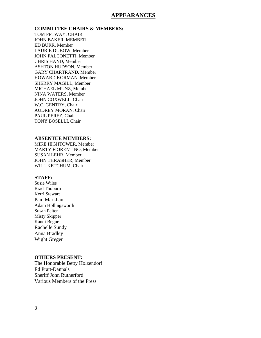### **APPEARANCES**

**COMMITTEE CHAIRS & MEMBERS:** TOM PETWAY, CHAIR JOHN BAKER, MEMBER ED BURR, Member LAURIE DUBOW, Member JOHN FALCONETTI, Member CHRIS HAND, Member ASHTON HUDSON, Member GARY CHARTRAND, Member HOWARD KORMAN, Member SHERRY MAGILL, Member MICHAEL MUNZ, Member NINA WATERS, Member JOHN COXWELL, Chair W.C. GENTRY, Chair AUDREY MORAN, Chair PAUL PEREZ, Chair TONY BOSELLI, Chair

#### **ABSENTEE MEMBERS:**

MIKE HIGHTOWER, Member MARTY FIORENTINO, Member SUSAN LEHR, Member JOHN THRASHER, Member WILL KETCHUM, Chair

#### **STAFF:**

Susie Wiles Brad Thoburn Kerri Stewart Pam Markham Adam Hollingsworth Susan Pelter Misty Skipper Kandi Begue Rachelle Sundy Anna Bradley Wight Greger

#### **OTHERS PRESENT:**

The Honorable Betty Holzendorf Ed Pratt-Dannals Sheriff John Rutherford Various Members of the Press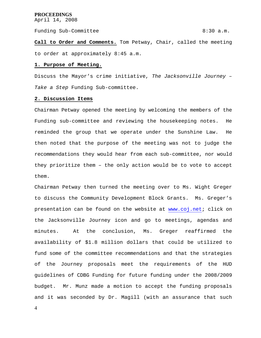Funding Sub-Committee 8:30 a.m.

**Call to Order and Comments.** Tom Petway, Chair, called the meeting to order at approximately 8:45 a.m.

#### **1. Purpose of Meeting.**

Discuss the Mayor's crime initiative, *The Jacksonville Journey – Take a Step* Funding Sub-committee.

#### **2. Discussion Items**

Chairman Petway opened the meeting by welcoming the members of the Funding sub-committee and reviewing the housekeeping notes. He reminded the group that we operate under the Sunshine Law. He then noted that the purpose of the meeting was not to judge the recommendations they would hear from each sub-committee, nor would they prioritize them – the only action would be to vote to accept them.

Chairman Petway then turned the meeting over to Ms. Wight Greger to discuss the Community Development Block Grants. Ms. Greger's presentation can be found on the website at www.coj.net; click on the Jacksonville Journey icon and go to meetings, agendas and minutes. At the conclusion, Ms. Greger reaffirmed the availability of \$1.8 million dollars that could be utilized to fund some of the committee recommendations and that the strategies of the Journey proposals meet the requirements of the HUD guidelines of CDBG Funding for future funding under the 2008/2009 budget. Mr. Munz made a motion to accept the funding proposals and it was seconded by Dr. Magill (with an assurance that such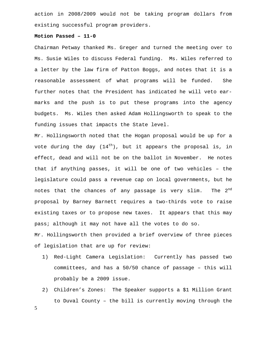action in 2008/2009 would not be taking program dollars from existing successful program providers.

#### **Motion Passed – 11-0**

Chairman Petway thanked Ms. Greger and turned the meeting over to Ms. Susie Wiles to discuss Federal funding. Ms. Wiles referred to a letter by the law firm of Patton Boggs, and notes that it is a reasonable assessment of what programs will be funded. She further notes that the President has indicated he will veto earmarks and the push is to put these programs into the agency budgets. Ms. Wiles then asked Adam Hollingsworth to speak to the funding issues that impacts the State level.

Mr. Hollingsworth noted that the Hogan proposal would be up for a vote during the day  $(14<sup>th</sup>)$ , but it appears the proposal is, in effect, dead and will not be on the ballot in November. He notes that if anything passes, it will be one of two vehicles – the legislature could pass a revenue cap on local governments, but he notes that the chances of any passage is very slim. The  $2^{nd}$ proposal by Barney Barnett requires a two-thirds vote to raise existing taxes or to propose new taxes. It appears that this may pass; although it may not have all the votes to do so.

Mr. Hollingsworth then provided a brief overview of three pieces of legislation that are up for review:

- 1) Red-Light Camera Legislation: Currently has passed two committees, and has a 50/50 chance of passage – this will probably be a 2009 issue.
- 2) Children's Zones: The Speaker supports a \$1 Million Grant to Duval County – the bill is currently moving through the

5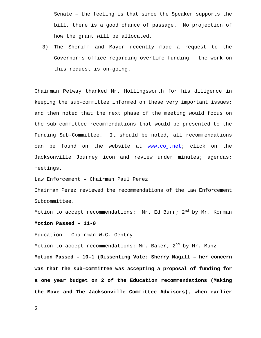Senate – the feeling is that since the Speaker supports the bill, there is a good chance of passage. No projection of how the grant will be allocated.

3) The Sheriff and Mayor recently made a request to the Governor's office regarding overtime funding – the work on this request is on-going.

Chairman Petway thanked Mr. Hollingsworth for his diligence in keeping the sub-committee informed on these very important issues; and then noted that the next phase of the meeting would focus on the sub-committee recommendations that would be presented to the Funding Sub-Committee. It should be noted, all recommendations can be found on the website at www.coj.net; click on the Jacksonville Journey icon and review under minutes; agendas; meetings.

#### Law Enforcement – Chairman Paul Perez

Chairman Perez reviewed the recommendations of the Law Enforcement Subcommittee.

Motion to accept recommendations: Mr. Ed Burr;  $2^{nd}$  by Mr. Korman **Motion Passed – 11-0**

#### Education – Chairman W.C. Gentry

Motion to accept recommendations: Mr. Baker;  $2^{nd}$  by Mr. Munz **Motion Passed – 10-1 (Dissenting Vote: Sherry Magill – her concern was that the sub-committee was accepting a proposal of funding for a one year budget on 2 of the Education recommendations (Making the Move and The Jacksonville Committee Advisors), when earlier**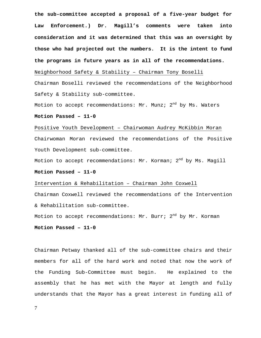**the sub-committee accepted a proposal of a five-year budget for Law Enforcement.) Dr. Magill's comments were taken into consideration and it was determined that this was an oversight by those who had projected out the numbers. It is the intent to fund the programs in future years as in all of the recommendations.** Neighborhood Safety & Stability – Chairman Tony Boselli

Chairman Boselli reviewed the recommendations of the Neighborhood Safety & Stability sub-committee.

Motion to accept recommendations: Mr. Munz;  $2^{nd}$  by Ms. Waters

**Motion Passed – 11-0** 

# Positive Youth Development – Chairwoman Audrey McKibbin Moran Chairwoman Moran reviewed the recommendations of the Positive Youth Development sub-committee.

Motion to accept recommendations: Mr. Korman;  $2^{nd}$  by Ms. Magill

#### **Motion Passed – 11-0**

#### Intervention & Rehabilitation – Chairman John Coxwell

Chairman Coxwell reviewed the recommendations of the Intervention & Rehabilitation sub-committee.

Motion to accept recommendations: Mr. Burr;  $2^{nd}$  by Mr. Korman

**Motion Passed – 11-0**

Chairman Petway thanked all of the sub-committee chairs and their members for all of the hard work and noted that now the work of the Funding Sub-Committee must begin. He explained to the assembly that he has met with the Mayor at length and fully understands that the Mayor has a great interest in funding all of